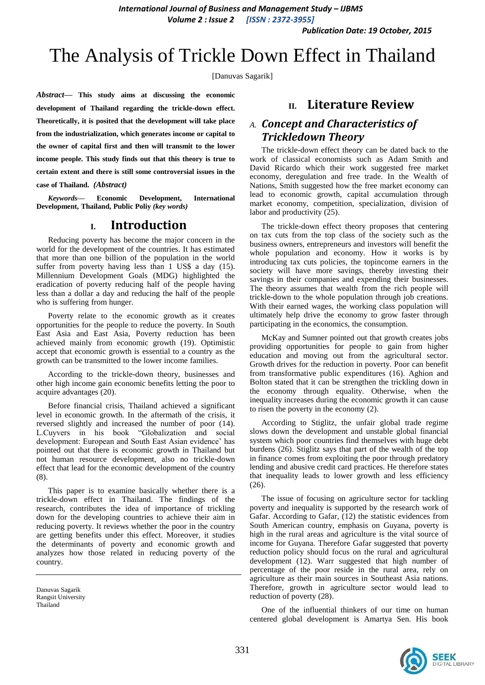*International Journal of Business and Management Study – IJBMS Volume 2 : Issue 2 [ISSN : 2372-3955]*

*Publication Date: 19 October, 2015*

# The Analysis of Trickle Down Effect in Thailand

[Danuvas Sagarik]

*Abstract***— This study aims at discussing the economic development of Thailand regarding the trickle-down effect. Theoretically, it is posited that the development will take place from the industrialization, which generates income or capital to the owner of capital first and then will transmit to the lower income people. This study finds out that this theory is true to certain extent and there is still some controversial issues in the** 

**case of Thailand.** *(Abstract)*

*Keywords—* **Economic Development, International Development, Thailand, Public Poliy** *(key words)*

## **I. Introduction**

Reducing poverty has become the major concern in the world for the development of the countries. It has estimated that more than one billion of the population in the world suffer from poverty having less than 1 US\$ a day (15). Millennium Development Goals (MDG) highlighted the eradication of poverty reducing half of the people having less than a dollar a day and reducing the half of the people who is suffering from hunger.

Poverty relate to the economic growth as it creates opportunities for the people to reduce the poverty. In South East Asia and East Asia, Poverty reduction has been achieved mainly from economic growth (19). Optimistic accept that economic growth is essential to a country as the growth can be transmitted to the lower income families.

According to the trickle-down theory, businesses and other high income gain economic benefits letting the poor to acquire advantages (20).

Before financial crisis, Thailand achieved a significant level in economic growth. In the aftermath of the crisis, it reversed slightly and increased the number of poor (14). L.Cuyvers in his book "Globalization and social development: European and South East Asian evidence' has pointed out that there is economic growth in Thailand but not human resource development, also no trickle-down effect that lead for the economic development of the country (8).

This paper is to examine basically whether there is a trickle-down effect in Thailand. The findings of the research, contributes the idea of importance of trickling down for the developing countries to achieve their aim in reducing poverty. It reviews whether the poor in the country are getting benefits under this effect. Moreover, it studies the determinants of poverty and economic growth and analyzes how those related in reducing poverty of the country.

# **II. Literature Review**

# *A. Concept and Characteristics of Trickledown Theory*

The trickle-down effect theory can be dated back to the work of classical economists such as Adam Smith and David Ricardo which their work suggested free market economy, deregulation and free trade. In the Wealth of Nations, Smith suggested how the free market economy can lead to economic growth, capital accumulation through market economy, competition, specialization, division of labor and productivity (25).

The trickle-down effect theory proposes that centering on tax cuts from the top class of the society such as the business owners, entrepreneurs and investors will benefit the whole population and economy. How it works is by introducing tax cuts policies, the topincome earners in the society will have more savings, thereby investing their savings in their companies and expending their businesses. The theory assumes that wealth from the rich people will trickle-down to the whole population through job creations. With their earned wages, the working class population will ultimately help drive the economy to grow faster through participating in the economics, the consumption.

McKay and Sumner pointed out that growth creates jobs providing opportunities for people to gain from higher education and moving out from the agricultural sector. Growth drives for the reduction in poverty. Poor can benefit from transformative public expenditures (16). Aghion and Bolton stated that it can be strengthen the trickling down in the economy through equality. Otherwise, when the inequality increases during the economic growth it can cause to risen the poverty in the economy (2).

According to Stiglitz, the unfair global trade regime slows down the development and unstable global financial system which poor countries find themselves with huge debt burdens (26). Stiglitz says that part of the wealth of the top in finance comes from exploiting the poor through predatory lending and abusive credit card practices. He therefore states that inequality leads to lower growth and less efficiency (26).

The issue of focusing on agriculture sector for tackling poverty and inequality is supported by the research work of Gafar. According to Gafar, (12) the statistic evidences from South American country, emphasis on Guyana, poverty is high in the rural areas and agriculture is the vital source of income for Guyana. Therefore Gafar suggested that poverty reduction policy should focus on the rural and agricultural development (12). Warr suggested that high number of percentage of the poor reside in the rural area, rely on agriculture as their main sources in Southeast Asia nations. Therefore, growth in agriculture sector would lead to reduction of poverty (28).

One of the influential thinkers of our time on human centered global development is Amartya Sen. His book



Danuvas Sagarik Rangsit University Thailand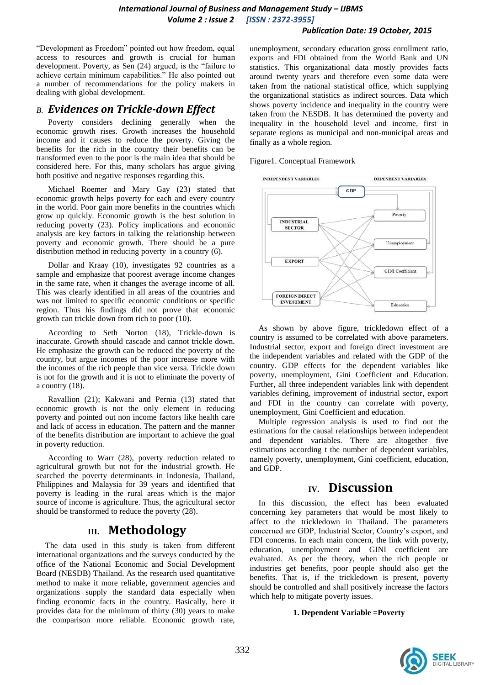## *Publication Date: 19 October, 2015*

"Development as Freedom" pointed out how freedom, equal access to resources and growth is crucial for human development. Poverty, as Sen (24) argued, is the "failure to achieve certain minimum capabilities." He also pointed out a number of recommendations for the policy makers in dealing with global development.

# *B. Evidences on Trickle-down Effect*

Poverty considers declining generally when the economic growth rises. Growth increases the household income and it causes to reduce the poverty. Giving the benefits for the rich in the country their benefits can be transformed even to the poor is the main idea that should be considered here. For this, many scholars has argue giving both positive and negative responses regarding this.

Michael Roemer and Mary Gay (23) stated that economic growth helps poverty for each and every country in the world. Poor gain more benefits in the countries which grow up quickly. Economic growth is the best solution in reducing poverty (23). Policy implications and economic analysis are key factors in talking the relationship between poverty and economic growth. There should be a pure distribution method in reducing poverty in a country (6).

Dollar and Kraay (10), investigates 92 countries as a sample and emphasize that poorest average income changes in the same rate, when it changes the average income of all. This was clearly identified in all areas of the countries and was not limited to specific economic conditions or specific region. Thus his findings did not prove that economic growth can trickle down from rich to poor (10).

According to Seth Norton (18), Trickle-down is inaccurate. Growth should cascade and cannot trickle down. He emphasize the growth can be reduced the poverty of the country, but argue incomes of the poor increase more with the incomes of the rich people than vice versa. Trickle down is not for the growth and it is not to eliminate the poverty of a country (18).

Ravallion (21); Kakwani and Pernia (13) stated that economic growth is not the only element in reducing poverty and pointed out non income factors like health care and lack of access in education. The pattern and the manner of the benefits distribution are important to achieve the goal in poverty reduction.

According to Warr (28), poverty reduction related to agricultural growth but not for the industrial growth. He searched the poverty determinants in Indonesia, Thailand, Philippines and Malaysia for 39 years and identified that poverty is leading in the rural areas which is the major source of income is agriculture. Thus, the agricultural sector should be transformed to reduce the poverty (28).

# **III. Methodology**

The data used in this study is taken from different international organizations and the surveys conducted by the office of the National Economic and Social Development Board (NESDB) Thailand. As the research used quantitative method to make it more reliable, government agencies and organizations supply the standard data especially when finding economic facts in the country. Basically, here it provides data for the minimum of thirty (30) years to make the comparison more reliable. Economic growth rate, unemployment, secondary education gross enrollment ratio, exports and FDI obtained from the World Bank and UN statistics. This organizational data mostly provides facts around twenty years and therefore even some data were taken from the national statistical office, which supplying the organizational statistics as indirect sources. Data which shows poverty incidence and inequality in the country were taken from the NESDB. It has determined the poverty and inequality in the household level and income, first in separate regions as municipal and non-municipal areas and finally as a whole region.

Figure1. Conceptual Framework



As shown by above figure, trickledown effect of a country is assumed to be correlated with above parameters. Industrial sector, export and foreign direct investment are the independent variables and related with the GDP of the country. GDP effects for the dependent variables like poverty, unemployment, Gini Coefficient and Education. Further, all three independent variables link with dependent variables defining, improvement of industrial sector, export and FDI in the country can correlate with poverty, unemployment, Gini Coefficient and education.

Multiple regression analysis is used to find out the estimations for the causal relationships between independent and dependent variables. There are altogether five estimations according t the number of dependent variables, namely poverty, unemployment, Gini coefficient, education, and GDP.

# **IV. Discussion**

In this discussion, the effect has been evaluated concerning key parameters that would be most likely to affect to the trickledown in Thailand. The parameters concerned are GDP, Industrial Sector, Country's export, and FDI concerns. In each main concern, the link with poverty, education, unemployment and GINI coefficient are evaluated. As per the theory, when the rich people or industries get benefits, poor people should also get the benefits. That is, if the trickledown is present, poverty should be controlled and shall positively increase the factors which help to mitigate poverty issues.

## **1. Dependent Variable =Poverty**

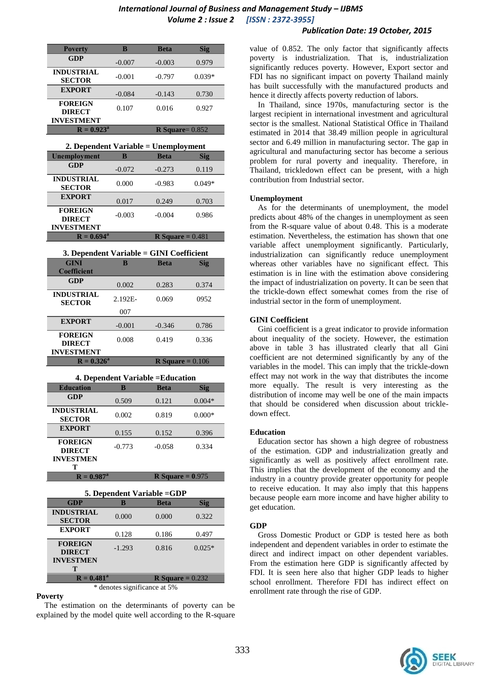## *International Journal of Business and Management Study – IJBMS Volume 2 : Issue 2 [ISSN : 2372-3955]*

## *Publication Date: 19 October, 2015*

| <b>Poverty</b>                                       | B        | <b>Beta</b>              | Sig      |
|------------------------------------------------------|----------|--------------------------|----------|
| <b>GDP</b>                                           | $-0.007$ | $-0.003$                 | 0.979    |
| <b>INDUSTRIAL</b><br><b>SECTOR</b>                   | $-0.001$ | $-0.797$                 | $0.039*$ |
| <b>EXPORT</b>                                        | $-0.084$ | $-0.143$                 | 0.730    |
| <b>FOREIGN</b><br><b>DIRECT</b><br><b>INVESTMENT</b> | 0.107    | 0.016                    | 0.927    |
| $R = 0.923^a$                                        |          | <b>R</b> Square= $0.852$ |          |

| 2. Dependent Variable = Unemployment             |          |             |            |
|--------------------------------------------------|----------|-------------|------------|
| <b>Unemployment</b>                              | в        | <b>Beta</b> | <b>Sig</b> |
| GDP                                              | $-0.072$ | $-0.273$    | 0.119      |
| <b>INDUSTRIAL</b><br><b>SECTOR</b>               | 0.000    | $-0.983$    | $0.049*$   |
| <b>EXPORT</b>                                    | 0.017    | 0.249       | 0.703      |
| <b>FOREIGN</b><br><b>DIRECT</b>                  | $-0.003$ | $-0.004$    | 0.986      |
| <b>INVESTMENT</b>                                |          |             |            |
| <b>R</b> Square = $0.481$<br>$R = 0.694^{\rm a}$ |          |             |            |

| 3. Dependent Variable = GINI Coefficient |            |                           |       |
|------------------------------------------|------------|---------------------------|-------|
| <b>GINI</b>                              | B          | <b>Beta</b>               | Sig   |
| <b>Coefficient</b>                       |            |                           |       |
| GDP                                      | 0.002      | 0.283                     | 0.374 |
| <b>INDUSTRIAL</b><br><b>SECTOR</b>       | $2.192E -$ | 0.069                     | 0952  |
|                                          | 007        |                           |       |
| <b>EXPORT</b>                            | $-0.001$   | $-0.346$                  | 0.786 |
| <b>FOREIGN</b><br><b>DIRECT</b>          | 0.008      | 0.419                     | 0.336 |
| <b>INVESTMENT</b>                        |            |                           |       |
| $R = 0.326^a$                            |            | <b>R</b> Square = $0.106$ |       |

#### **4. Dependent Variable =Education**

| <b>Education</b>                                    | B        | <b>Beta</b>               | Sig      |
|-----------------------------------------------------|----------|---------------------------|----------|
| GDP                                                 | 0.509    | 0.121                     | $0.004*$ |
| <b>INDUSTRIAL</b><br><b>SECTOR</b>                  | 0.002    | 0.819                     | $0.000*$ |
| <b>EXPORT</b>                                       | 0.155    | 0.152                     | 0.396    |
| <b>FOREIGN</b><br><b>DIRECT</b><br><b>INVESTMEN</b> | $-0.773$ | $-0.058$                  | 0.334    |
| т                                                   |          |                           |          |
| $R = 0.987^{\rm a}$                                 |          | <b>R</b> Square = $0.975$ |          |

| 5. Dependent Variable =GDP |  |  |
|----------------------------|--|--|
|                            |  |  |

| <b>GDP</b>                         | B        | <b>Beta</b>               | <b>Sig</b> |
|------------------------------------|----------|---------------------------|------------|
| <b>INDUSTRIAL</b><br><b>SECTOR</b> | 0.000    | 0.000                     | 0.322      |
| <b>EXPORT</b>                      | 0.128    | 0.186                     | 0.497      |
| <b>FOREIGN</b><br><b>DIRECT</b>    | $-1.293$ | 0.816                     | $0.025*$   |
| <b>INVESTMEN</b><br>т              |          |                           |            |
| $R = 0.481^a$                      |          | <b>R</b> Square = $0.232$ |            |

\* denotes significance at 5%

#### **Poverty**

 The estimation on the determinants of poverty can be explained by the model quite well according to the R-square

value of 0.852. The only factor that significantly affects poverty is industrialization. That is, industrialization significantly reduces poverty. However, Export sector and FDI has no significant impact on poverty Thailand mainly has built successfully with the manufactured products and hence it directly affects poverty reduction of labors.

 In Thailand, since 1970s, manufacturing sector is the largest recipient in international investment and agricultural sector is the smallest. National Statistical Office in Thailand estimated in 2014 that 38.49 million people in agricultural sector and 6.49 million in manufacturing sector. The gap in agricultural and manufacturing sector has become a serious problem for rural poverty and inequality. Therefore, in Thailand, trickledown effect can be present, with a high contribution from Industrial sector.

#### **Unemployment**

 As for the determinants of unemployment, the model predicts about 48% of the changes in unemployment as seen from the R-square value of about 0.48. This is a moderate estimation. Nevertheless, the estimation has shown that one variable affect unemployment significantly. Particularly, industrialization can significantly reduce unemployment whereas other variables have no significant effect. This estimation is in line with the estimation above considering the impact of industrialization on poverty. It can be seen that the trickle-down effect somewhat comes from the rise of industrial sector in the form of unemployment.

#### **GINI Coefficient**

 Gini coefficient is a great indicator to provide information about inequality of the society. However, the estimation above in table 3 has illustrated clearly that all Gini coefficient are not determined significantly by any of the variables in the model. This can imply that the trickle-down effect may not work in the way that distributes the income more equally. The result is very interesting as the distribution of income may well be one of the main impacts that should be considered when discussion about trickledown effect.

#### **Education**

 Education sector has shown a high degree of robustness of the estimation. GDP and industrialization greatly and significantly as well as positively affect enrollment rate. This implies that the development of the economy and the industry in a country provide greater opportunity for people to receive education. It may also imply that this happens because people earn more income and have higher ability to get education.

#### **GDP**

 Gross Domestic Product or GDP is tested here as both independent and dependent variables in order to estimate the direct and indirect impact on other dependent variables. From the estimation here GDP is significantly affected by FDI. It is seen here also that higher GDP leads to higher school enrollment. Therefore FDI has indirect effect on enrollment rate through the rise of GDP.